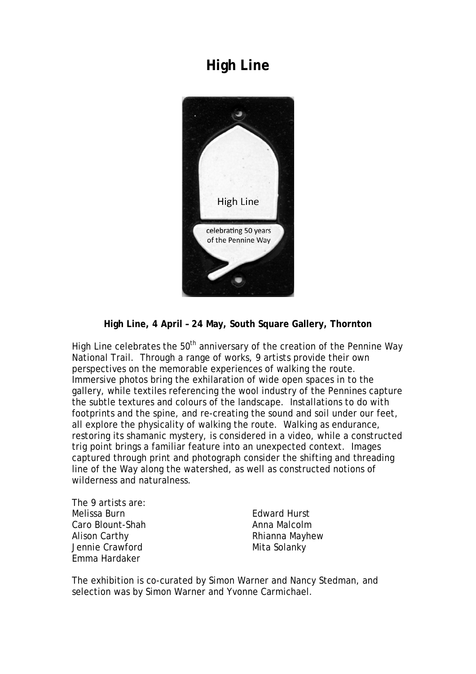## **High Line**



## **High Line, 4 April – 24 May, South Square Gallery, Thornton**

High Line celebrates the  $50<sup>th</sup>$  anniversary of the creation of the Pennine Way National Trail. Through a range of works, 9 artists provide their own perspectives on the memorable experiences of walking the route. Immersive photos bring the exhilaration of wide open spaces in to the gallery, while textiles referencing the wool industry of the Pennines capture the subtle textures and colours of the landscape. Installations to do with footprints and the spine, and re-creating the sound and soil under our feet, all explore the physicality of walking the route. Walking as endurance, restoring its shamanic mystery, is considered in a video, while a constructed trig point brings a familiar feature into an unexpected context. Images captured through print and photograph consider the shifting and threading line of the Way along the watershed, as well as constructed notions of wilderness and naturalness.

The 9 artists are: Melissa Burn Caro Blount-Shah Alison Carthy Jennie Crawford Emma Hardaker

Edward Hurst Anna Malcolm Rhianna Mayhew Mita Solanky

The exhibition is co-curated by Simon Warner and Nancy Stedman, and selection was by Simon Warner and Yvonne Carmichael.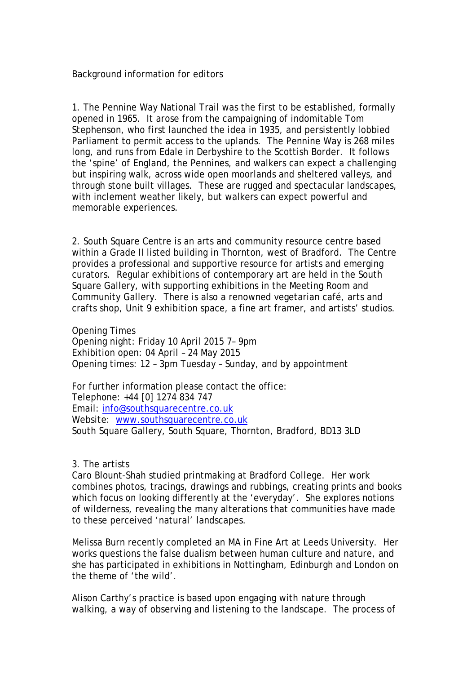Background information for editors

1. The Pennine Way National Trail was the first to be established, formally opened in 1965. It arose from the campaigning of indomitable Tom Stephenson, who first launched the idea in 1935, and persistently lobbied Parliament to permit access to the uplands. The Pennine Way is 268 miles long, and runs from Edale in Derbyshire to the Scottish Border. It follows the 'spine' of England, the Pennines, and walkers can expect a challenging but inspiring walk, across wide open moorlands and sheltered valleys, and through stone built villages. These are rugged and spectacular landscapes, with inclement weather likely, but walkers can expect powerful and memorable experiences.

2. South Square Centre is an arts and community resource centre based within a Grade II listed building in Thornton, west of Bradford. The Centre provides a professional and supportive resource for artists and emerging curators. Regular exhibitions of contemporary art are held in the South Square Gallery, with supporting exhibitions in the Meeting Room and Community Gallery. There is also a renowned vegetarian café, arts and crafts shop, Unit 9 exhibition space, a fine art framer, and artists' studios.

Opening Times Opening night: Friday 10 April 2015 7– 9pm Exhibition open: 04 April – 24 May 2015 Opening times: 12 – 3pm Tuesday – Sunday, and by appointment

For further information please contact the office: Telephone: +44 [0] 1274 834 747 Email: [info@southsquarecentre.co.uk](mailto:info@southsquarecentre.co.uk) Website: [www.southsquarecentre.co.uk](http://www.southsquarecentre.co.uk/) South Square Gallery, South Square, Thornton, Bradford, BD13 3LD

## 3. The artists

Caro Blount-Shah studied printmaking at Bradford College. Her work combines photos, tracings, drawings and rubbings, creating prints and books which focus on looking differently at the 'everyday'. She explores notions of wilderness, revealing the many alterations that communities have made to these perceived 'natural' landscapes.

Melissa Burn recently completed an MA in Fine Art at Leeds University. Her works questions the false dualism between human culture and nature, and she has participated in exhibitions in Nottingham, Edinburgh and London on the theme of 'the wild'.

Alison Carthy's practice is based upon engaging with nature through walking, a way of observing and listening to the landscape. The process of